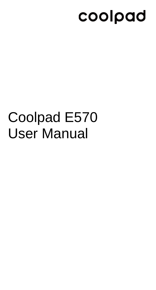# coolpad

# Coolpad E570 User Manual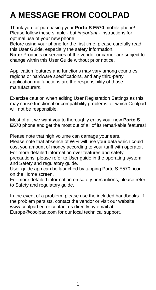## **A MESSAGE FROM COOLPAD**

Thank you for purchasing your **Porto S E570** mobile phone! Please follow these simple - but *important* - instructions for optimal use of your new phone:

Before using your phone for the first time, please carefully read this User Guide, especially the safety information.

**Note:** Products or services of the vendor or carrier are subject to change within this User Guide without prior notice.

Application features and functions may vary among countries, regions or hardware specifications, and any third-party application malfunctions are the responsibility of those manufacturers.

Exercise caution when editing User Registration Settings as this may cause functional or compatibility problems for which Coolpad will not be responsible.

Most of all, we want you to thoroughly enjoy your new **Porto S E570** phone and get the most out of all of its remarkable features!

Please note that high volume can damage your ears.

Please note that absence of WiFi will use your data which could cost you amount of money according to your tariff with operator. For more detailed information over features and safety

precautions, please refer to User guide in the operating system and Safety and regulatory guide.

User guide app can be launched by tapping Porto S E570! icon on the Home screen.

For more detailed information on safety precautions, please refer to Safety and regulatory guide.

In the event of a problem, please use the included handbooks. If the problem persists, contact the vendor or visit our website www.coolpad.eu or contact us directly by email at Europe@coolpad.com for our local technical support.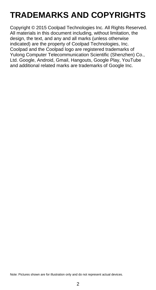## **TRADEMARKS AND COPYRIGHTS**

Copyright © 2015 Coolpad Technologies Inc. All Rights Reserved. All materials in this document including, without limitation, the design, the text, and any and all marks (unless otherwise indicated) are the property of Coolpad Technologies, Inc. Coolpad and the Coolpad logo are registered trademarks of Yulong Computer Telecommunication Scientific (Shenzhen) Co., Ltd. Google, Android, Gmail, Hangouts, Google Play, YouTube and additional related marks are trademarks of Google Inc.

Note: Pictures shown are for illustration only and do not represent actual devices.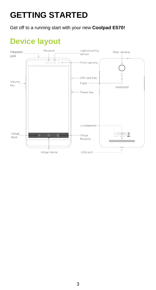## **GETTING STARTED**

Get off to a running start with your new **Coolpad E570!**

## **Device layout**

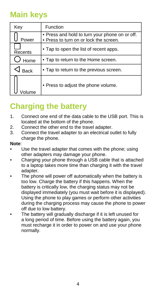### **Main keys**

| Key         | Function                                                                                 |  |  |  |  |
|-------------|------------------------------------------------------------------------------------------|--|--|--|--|
| Power       | . Press and hold to turn your phone on or off.<br>. Press to turn on or lock the screen. |  |  |  |  |
| Recents     | • Tap to open the list of recent apps.                                                   |  |  |  |  |
| Home        | • Tap to return to the Home screen.                                                      |  |  |  |  |
| <b>Back</b> | • Tap to return to the previous screen.                                                  |  |  |  |  |
|             | . Press to adjust the phone volume.                                                      |  |  |  |  |

### **Charging the battery**

- 1. Connect one end of the data cable to the USB port. This is located at the bottom of the phone.
- 2. Connect the other end to the travel adapter.<br>3. Connect the travel adapter to an electrical or
- Connect the travel adapter to an electrical outlet to fully charge the phone.

#### **Note**:

- Use the travel adapter that comes with the phone; using other adapters may damage your phone.
- Charging your phone through a USB cable that is attached to a laptop takes more time than charging it with the travel adapter.
- The phone will power off automatically when the battery is too low. Charge the battery if this happens. When the battery is critically low, the charging status may not be displayed immediately (you must wait before it is displayed). Using the phone to play games or perform other activities during the charging process may cause the phone to power off due to low battery.
- The battery will gradually discharge if it is left unused for a long period of time. Before using the battery again, you must recharge it in order to power on and use your phone normally.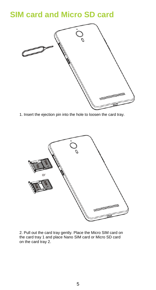### **SIM card and Micro SD card**



1. Insert the ejection pin into the hole to loosen the card tray.



2. Pull out the card tray gently. Place the Micro SIM card on the card tray 1 and place Nano SIM card or Micro SD card on the card tray 2.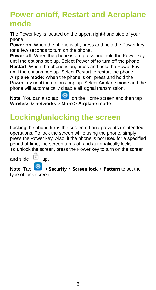### **Power on/off, Restart and Aeroplane mode**

The Power key is located on the upper, right-hand side of your phone.

**Power on:** When the phone is off, press and hold the Power key for a few seconds to turn on the phone.

**Power off:** When the phone is on, press and hold the Power key until the options pop up. Select Power off to turn off the phone. **Restart**: When the phone is on, press and hold the Power key until the options pop up. Select Restart to restart the phone. **Airplane mode:** When the phone is on, press and hold the Power key until the options pop up. Select Airplane mode and the phone will automatically disable all signal transmission.

**Note**: You can also tap **O** on the Home screen and then tap **Wireless & networks** > **More** > **Airplane mode**.

### **Locking/unlocking the screen**

Locking the phone turns the screen off and prevents unintended operations. To lock the screen while using the phone, simply press the Power key. Also, if the phone is not used for a specified period of time, the screen turns off and automatically locks. To unlock the screen, press the Power key to turn on the screen

and slide  $\overline{u}$  up.

**Note:** Tap  $\frac{100}{20}$  > **Security** > **Screen lock** > **Pattern** to set the type of lock screen.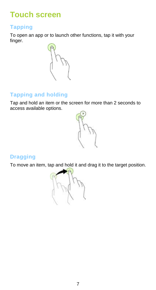### **Touch screen**

#### **Tapping**

To open an app or to launch other functions, tap it with your finger.



#### **Tapping and holding**

Tap and hold an item or the screen for more than 2 seconds to access available options.



#### **Dragging**

To move an item, tap and hold it and drag it to the target position.

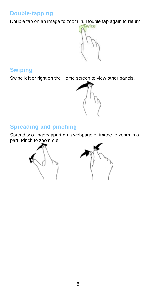#### **Double-tapping**

Double tap on an image to zoom in. Double tap again to return.



#### **Swiping**

Swipe left or right on the Home screen to view other panels.



#### **Spreading and pinching**

Spread two fingers apart on a webpage or image to zoom in a part. Pinch to zoom out.

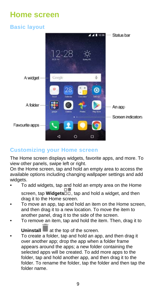### **Home screen**

#### **Basic layout**



#### **Customizing your Home screen**

The Home screen displays widgets, favorite apps, and more. To view other panels, swipe left or right.

On the Home screen, tap and hold an empty area to access the available options including changing wallpaper settings and add widgets.

- To add widgets, tap and hold an empty area on the Home screen, tap **Widgets** $\overline{0}$ , tap and hold a widget, and then drag it to the Home screen.
- To move an app, tap and hold an item on the Home screen. and then drag it to a new location. To move the item to another panel, drag it to the side of the screen.
- To remove an item, tap and hold the item. Then, drag it to

**Uninstall** at the top of the screen.

• To create a folder, tap and hold an app, and then drag it over another app; drop the app when a folder frame appears around the apps; a new folder containing the selected apps will be created. To add more apps to the folder, tap and hold another app, and then drag it to the folder. To rename the folder, tap the folder and then tap the folder name.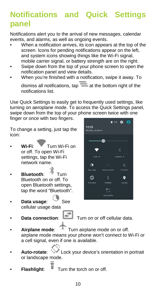### **Notifications and Quick Settings panel**

Notifications alert you to the arrival of new messages, calendar events, and alarms, as well as ongoing events.

- When a notification arrives, its icon appears at the top of the screen. Icons for pending notifications appear on the left. and system icons showing things like the Wi-Fi signal. mobile carrier signal, or battery strength are on the right.
- Swipe down from the top of your phone screen to open the notification panel and view details.
- When you're finished with a notification, swipe it away. To

dismiss all notifications, tap  $\equiv$  at the bottom right of the notifications list.

Use Quick Settings to easily get to frequently used settings, like turning on aeroplane mode. To access the Quick Settings panel, swipe down from the top of your phone screen twice with one

finger or once with two fingers.

To change a setting, just tap the icon:

- **Wi-Fi**: Turn Wi-Fi on or off. To open Wi-Fi settings, tap the Wi-Fi network name.
- **Bluetooth**: Turn Bluetooth on or off. To open Bluetooth settings, tap the word "Bluetooth".
- **Data usage:** See cellular usage data
- 



**Data connection: Turn** on or off cellular data.

- Airplane mode: Turn airplane mode on or off. airplane mode means your phone won't connect to Wi-Fi or a cell signal, even if one is available.
- **Auto-rotate**: Lock your device's orientation in portrait or landscape mode.
- **Flashlight:**  $\blacksquare$  Turn the torch on or off.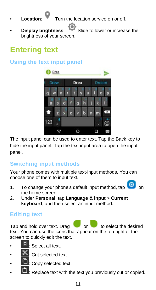**Location:** Turn the location service on or off.

**Display brightness:** Slide to lower or increase the brightness of your screen.

### **Entering text**

#### **Using the text input panel**



The input panel can be used to enter text. Tap the Back key to hide the input panel. Tap the text input area to open the input panel.

#### **Switching input methods**

Your phone comes with multiple text-input methods. You can choose one of them to input text.

- 1. To change your phone's default input method, tap the home screen.
- 2. Under **Personal**, tap **Language & input** > **Current keyboard**, and then select an input method.

#### **Editing text**

Tap and hold over text. Drag or to select the desired text. You can use the icons that appear on the top right of the screen to quickly edit the text.

Select all text.

- ut selected text.
- : Copy selected text.
- Replace text with the text you previously cut or copied.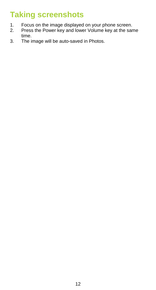### **Taking screenshots**

- 1. Focus on the image displayed on your phone screen.<br>2. Press the Power key and lower Volume key at the sar
- 2. Press the Power key and lower Volume key at the same time.
- 3. The image will be auto-saved in Photos.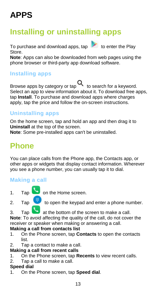## **APPS**

### **Installing or uninstalling apps**

To purchase and download apps,  $tan$  to enter the Play Store.

**Note**: Apps can also be downloaded from web pages using the phone browser or third-party app download software.

#### **Installing apps**

Browse apps by category or tap  $\mathbf Q$  to search for a keyword. Select an app to view information about it. To download free apps, tap **Install**. To purchase and download apps where charges apply, tap the price and follow the on-screen instructions.

#### **Uninstalling apps**

On the home screen, tap and hold an app and then drag it to **Uninstall** at the top of the screen. **Note**: Some pre-installed apps can't be uninstalled.

### **Phone**

You can place calls from the Phone app, the Contacts app, or other apps or widgets that display contact information. Wherever you see a phone number, you can usually tap it to dial.

#### **Making a call**

1. Tap  $\bullet$  on the Home screen.

2. Tap  $\begin{array}{c} \begin{array}{c} \begin{array}{c} \end{array} \\ \end{array}$  to open the keypad and enter a phone number.

3 Tap at the bottom of the screen to make a call.

**Note**: To avoid affecting the quality of the call, do not cover the receiver or speaker when making or answering a call.

### **Making a call from contacts list**<br>1 On the Phone screen, tap Co

- 1. On the Phone screen, tap **Contacts** to open the contacts list.
- 2. Tap a contact to make a call.

#### **Making a call from recent calls**

- 1. On the Phone screen, tap **Recents** to view recent calls.
- Tap a call to make a call.

### **Speed dial**<br>1 On the

1. On the Phone screen, tap **Speed dial**.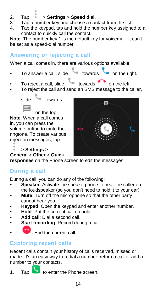- 2. Tap > **Settings** > **Speed dial**.
- 3. Tap a number key and choose a contact from the list.<br>4. Tap the keypad, tap and bold the number key assigned
- Tap the keypad, tap and hold the number key assigned to a contact to quickly call the contact.

**Note**: The number key 1 is the default key for voicemail. It can't be set as a speed-dial number.

#### **Answering or rejecting a call**

When a call comes in, there are various options available.

To answer a call, slide towards on the right.

- To reject a call, slide towards on the left.
- To reject the call and send an SMS message to the caller,

slide towards

on the top. **Note**: When a call comes in, you can press the volume button to mute the ringtone. To create various rejection messages, tap



> **Settings** > **General** > **Other** > **Quick** 

**responses** on the Phone screen to edit the messages.

### **During a call**

During a call, you can do any of the following:

- **Speaker:** Activate the speakerphone to hear the caller on the loudspeaker (so you don't need to hold it to your ear).
- **Mute**: Turn off the microphone so that the other party cannot hear you.
- **Keypad:** Open the keypad and enter another number.
- **Hold:** Put the current call on hold.<br>• **Add call:** Dial a second call
- **Add call**: Dial a second call.
- **Start recording: Record during a call**
- $\cdot$  Fnd the current call.

### **Exploring recent calls**

Recent calls contain your history of calls received, missed or made. It's an easy way to redial a number, return a call or add a number to your contacts.

1. Tap  $\bullet$  to enter the Phone screen.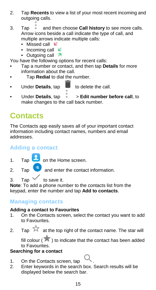- 2. Tap **Recents** to view a list of your most recent incoming and outgoing calls.
- 3. Tap and then choose **Call history** to see more calls. Arrow icons beside a call indicate the type of call, and multiple arrows indicate multiple calls:
	- Missed call  $\mathbb{K}$
	- Incoming call  $K$
	- Outgoing call 7

You have the following options for recent calls:

- Tap a number or contact, and then tap **Details** for more information about the call.
- Tap **Redial** to dial the number.
- $\bullet$  Under **Details**, tap  $\bullet$  to delete the call.

• Under **Details**, tap > **Edit number before call**, to make changes to the call back number.

### **Contacts**

The Contacts app easily saves all of your important contact information including contact names, numbers and email addresses.

#### **Adding a contact**

1. Tap **3** on the Home screen.

- 2. Tap and enter the contact information.
- $3$  Tap  $\vee$  to save it.

**Note**: To add a phone number to the contacts list from the keypad, enter the number and tap **Add to contacts**.

#### **Managing contacts**

#### **Adding a contact to Favourites**

- 1. On the Contacts screen, select the contact you want to add to Favourites.
- 2. Tap  $\overline{\mathcal{M}}$  at the top right of the contact name. The star will

fill colour ( $\overline{\phantom{a}}$ ) to indicate that the contact has been added to Favourites.

#### **Searching for a contact**

- 1. On the Contacts screen, tap<br>2. Enter keywords in the search
- Enter keywords in the search box. Search results will be displayed below the search bar.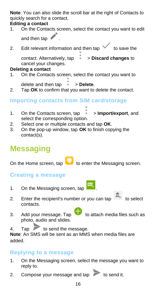**Note**: You can also slide the scroll bar at the right of Contacts to quickly search for a contact.

### **Editing a contact**<br>1 On the Conta

- 1. On the Contacts screen, select the contact you want to edit and then tap
- 2. Edit relevant information and then tap  $\checkmark$  to save the contact. Alternatively, tap > **Discard changes** to cancel your changes.

### **Deleting a contact**<br>1 On the Contact

- 1. On the Contacts screen, select the contact you want to delete and then tap  $\rightarrow$  **Delete.**
- 2. Tap **OK** to confirm that you want to delete the contact.

#### **Importing contacts from SIM card/storage**

- 1. On the Contacts screen, tap > **Import/export**, and select the corresponding option.
- 2. Select one or multiple contacts and tap **OK**.
- 3. On the pop-up window, tap **OK** to finish copying the contact(s).

### **Messaging**

On the Home screen, tap to enter the Messaging screen.

#### **Creating a message**

- 1. On the Messaging screen, tap
- 2. Enter the recipient's number or you can tap  $\overline{a}$  to select contacts.
- 3. Add your message. Tap to attach media files such as photo, audio and slides.

4. Tap to send the message.

**Note**: An SMS will be sent as an MMS when media files are added.

#### **Replying to a message**

- 1. On the Messaging screen, select the message you want to reply to.
- 2. Compose your message and tap  $\overline{\phantom{a}}$  to send it.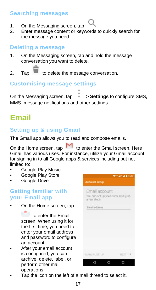#### **Searching messages**

- 1. On the Messaging screen, tap<br>2. Enter message content or key
- Enter message content or keywords to quickly search for the message you need.

#### **Deleting a message**

- 1. On the Messaging screen, tap and hold the message conversation you want to delete.
- 2. Tap **to delete the message conversation.**

#### **Customising message settings**

On the Messaging screen, tap > **Settings** to configure SMS, MMS, message notifications and other settings.

### **Email**

#### **Setting up & using Gmail**

The Gmail app allows you to read and compose emails.

On the Home screen, tap  $\mathsf{M}$  to enter the Gmail screen. Here Gmail has various uses. For instance, utilize your Gmail account for signing in to all Google apps & services including but not limited to:

- Google Play Music
- Google Play Store
- Google Drive

#### **Getting familiar with your Email app**

• On the Home screen, tap

to enter the Email screen. When using it for the first time, you need to enter your email address and password to configure an account.

After your email account is configured, you can archive, delete, label, or perform other mail operations.

| Account setup                                                        | $9 - 4 - 4 = 1553$ |
|----------------------------------------------------------------------|--------------------|
| Email account<br>You can set up your account in just.<br>a few steps |                    |
| Email address                                                        |                    |
|                                                                      |                    |
|                                                                      |                    |
|                                                                      |                    |
| MANUAL BETUP                                                         | NEXT >             |
|                                                                      |                    |

Tap the icon on the left of a mail thread to select it.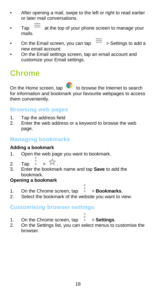- After opening a mail, swipe to the left or right to read earlier or later mail conversations.
- Tap  $\equiv$  at the top of your phone screen to manage your mails.
- On the Email screen, you can tap  $\equiv$   $\frac{1}{2}$  Settings to add a new email account.
- On the Email settings screen, tap an email account and customize your Email settings.

### **Chrome**

On the Home screen, tap  $\bullet$  to browse the Internet to search for information and bookmark your favourite webpages to access them conveniently.

#### **Browsing web pages**

- 1. Tap the address field<br>2. Enter the web addres
- Enter the web address or a keyword to browse the web page.

#### **Managing bookmarks**

#### **Adding a bookmark**

- 1. Open the web page you want to bookmark.
- 2. Tap  $\stackrel{\circ}{\bullet}$  >  $\stackrel{\circ}{\mathcal{M}}$ .
- 3. Enter the bookmark name and tap **Save** to add the bookmark.

#### **Opening a bookmark**

- 1. On the Chrome screen, tap  $\rightarrow$  **Bookmarks.**<br>2. Select the bookmark of the website you want to y
- Select the bookmark of the website you want to view.

#### **Customising browser settings**

- 
- 1. On the Chrome screen, tap > **Settings**.
- 2. On the Settings list, you can select menus to customise the browser.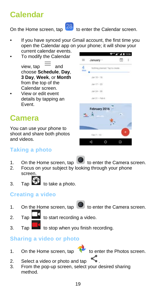### **Calendar**



On the Home screen, tap  $\boxed{28}$  to enter the Calendar screen.

- If you have synced your Gmail account, the first time you open the Calendar app on your phone; it will show your current calendar events.
- To modify the Calendar view  $tan =$  and choose **Schedule**, **Day**, **3 Day**, **Week**, or **Month** from the top of the Calendar screen.
- View or edit event details by tapping an Event.

### **Camera**

You can use your phone to shoot and share both photos and videos.

#### **Taking a photo**

- 
- 1. On the Home screen, tap to enter the Camera screen.<br>2. Focus on your subject by looking through your phone Focus on your subject by looking through your phone screen.
- $3.$  Tap  $5$  to take a photo.

#### **Creating a video**

1. On the Home screen, tap  $\bullet$  to enter the Camera screen.

- 2. Tap  $\Box$  to start recording a video.
- 3. Tap  $\frac{1}{\sqrt{2}}$  to stop when you finish recording.

#### **Sharing a video or photo**

1. On the Home screen, tap to enter the Photos screen.



- 2. Select a video or photo and tap<br>3. From the non-un screen, select
- From the pop-up screen, select your desired sharing method.

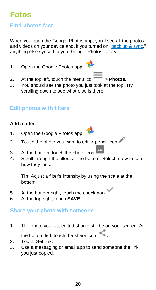### **Fotos**

#### **Find photos fast**

When you open the Google Photos app, you'll see all the photos and videos on your device and, if you turned on "back up & sync," anything else synced to your Google Photos library.

1. Open the Google Photos app

- 2. At the top left, touch the menu ico  $\overline{\phantom{a}}$  > **Photos**.
- You should see the photo you just took at the top. Try scrolling down to see what else is there.

#### **Edit photos with filters**

#### **Add a filter**

- 1. Open the Google Photos app
- 2. Touch the photo you want to edit > pencil icon
- 3. At the bottom, touch the photo icon  $\begin{bmatrix} 4 \\ 4 \end{bmatrix}$  Scroll through the filters at the bottom Scroll
- Scroll through the filters at the bottom. Select a few to see how they look.

**Tip**: Adjust a filter's intensity by using the scale at the bottom.

- 5. At the bottom right, touch the checkmark
- 6. At the top right, touch **SAVE**.

#### **Share your photo with someone**

1. The photo you just edited should still be on your screen. At

the bottom left, touch the share icon

- 2. Touch Get link.<br>3. I lse a messagi
- Use a messaging or email app to send someone the link you just copied.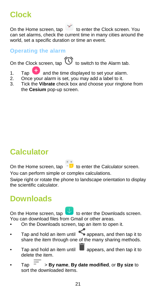### **Clock**

On the Home screen, tap to enter the Clock screen. You can set alarms, check the current time in many cities around the world, set a specific duration or time an event.

#### **Operating the alarm**

On the Clock screen, tap  $\bigcirc$  to switch to the Alarm tab.

- 1. Tap  $\overline{+}$  and the time displayed to set your alarm.<br>2. Once your alarm is set, you may add a label to it.
- 2. Once your alarm is set, you may add a label to it.<br>3. Tick the **Vibrate** check hox and choose your ring
- 3. Tick the **Vibrate** check box and choose your ringtone from the **Cesium** pop-up screen.

### **Calculator**

On the Home screen, tap  $\overline{\phantom{a}}$  to enter the Calculator screen.

You can perform simple or complex calculations.

Swipe right or rotate the phone to landscape orientation to display the scientific calculator.

### **Downloads**

On the Home screen, tap **the enter the Downloads screen.** You can download files from Gmail or other areas.

- On the Downloads screen, tap an item to open it.
- Tap and hold an item until  $\leq$  appears, and then tap it to share the item through one of the many sharing methods.
- Tap and hold an item until  $\Box$  appears, and then tap it to delete the item.
- $Tap = \sum$  > **By name, By date modified, or By size** to sort the downloaded items.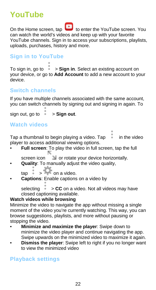### **YouTube**

On the Home screen, tap **the State of the SouTube screen.** You can watch the world's videos and keep up with your favorite YouTube channels. Sign in to access your subscriptions, playlists. uploads, purchases, history and more.

#### **Sign in to YouTube**

To sign in, go to > **Sign in**. Select an existing account on your device, or go to **Add Account** to [add a new account to your](https://support.google.com/nexus/answer/2840815)  [device.](https://support.google.com/nexus/answer/2840815)

#### **Switch channels**

If you have multiple channels associated with the same account, you can switch channels by signing out and signing in again. To

 $s$ ign out, go to  $\stackrel{\ast}{\bullet}$  > **Sign out.** 

#### **Watch videos**

Tap a thumbnail to begin playing a video. Tap in the video player to access additional viewing options.

• **Full screen**: To play the video in full screen, tap the full

screen icon or rotate your device horizontally.

• **Quality**: To manually adjust the video quality,

 $\tan \frac{1}{2}$  on a video.

• **Captions**: Enable captions on a video by

selecting  $\rightarrow$  **CC** on a video. Not all videos may have closed captioning available.

#### **Watch videos while browsing**

Minimize the video to navigate the app without missing a single moment of the video you're currently watching. This way, you can browse suggestions, playlists, and more without pausing or stopping the video.

- **Minimize and maximize the player**: Swipe down to minimize the video player and continue navigating the app. Swipe upwards on the minimized video to maximize it again.
- **Dismiss the player:** Swipe left to right if you no longer want to view the minimized video

#### **Playback settings**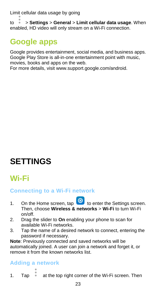Limit cellular data usage by going

to > **Settings** > **General** > **Limit cellular data usage**. When enabled, HD video will only stream on a Wi-Fi connection.

### **Google apps**

Google provides entertainment, social media, and business apps. Google Play Store is all-in-one entertainment point with music, movies, books and apps on the web.

For more details, visit www.support.google.com/android.

### **SETTINGS**

### **Wi-Fi**

#### **Connecting to a Wi-Fi network**

- 1. On the Home screen, tap  $\overline{Q}$  to enter the Settings screen. Then, choose **Wireless & networks** > **Wi-Fi** to turn Wi-Fi on/off.
- 2. Drag the slider to **On** enabling your phone to scan for available Wi-Fi networks.
- 3. Tap the name of a desired network to connect, entering the password if necessary.

**Note**: Previously connected and saved networks will be automatically joined. A user can join a network and forget it, or remove it from the known networks list.

#### **Adding a network**

1. Tap  $\bullet$  at the top right corner of the Wi-Fi screen. Then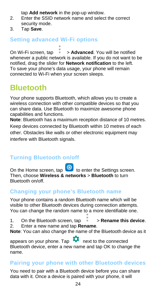tap **Add network** in the pop-up window.

- 2. Enter the SSID network name and select the correct security mode.
- 3. Tap **Save**.

#### **Setting advanced Wi-Fi options**

On Wi-Fi screen, tap  $\rightarrow$  **Advanced**. You will be notified whenever a public network is available. If you do not want to be notified, drag the slider for **Network notification** to the left. To save your phone's data usage, your phone will remain connected to Wi-Fi when your screen sleeps.

### **Bluetooth**

Your phone supports Bluetooth, which allows you to create a wireless connection with other compatible devices so that you can share data. Use Bluetooth to maximize awesome phone capabilities and functions.

**Note**: Bluetooth has a maximum reception distance of 10 metres. Keep devices connected by Bluetooth within 10 metres of each other. Obstacles like walls or other electronic equipment may interfere with Bluetooth signals.

#### **Turning Bluetooth on/off**

On the Home screen, tap to enter the Settings screen. Then, choose **Wireless & networks** > **Bluetooth** to turn Bluetooth on/off.

#### **Changing your phone's Bluetooth name**

Your phone contains a random Bluetooth name which will be visible to other Bluetooth devices during connection attempts. You can change the random name to a more identifiable one.

- 1. On the Bluetooth screen, tap  $\rightarrow$  **Rename this device.**<br>2. Enter a new name and tan **Rename**
- 2. Enter a new name and tap **Rename**.

**Note**: You can also change the name of the Bluetooth device as it

appears on your phone. Tap **10** next to the connected Bluetooth device, enter a new name and tap OK to change the name.

#### **Pairing your phone with other Bluetooth devices**

You need to pair with a Bluetooth device before you can share data with it. Once a device is paired with your phone, it will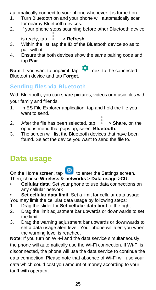automatically connect to your phone whenever it is turned on.

- 1. Turn Bluetooth on and your phone will automatically scan for nearby Bluetooth devices.
- 2. If your phone stops scanning before other Bluetooth device is ready, tap > **Refresh**.
- 3. Within the list, tap the ID of the Bluetooth device so as to pair with it.
- 4. Ensure that both devices show the same pairing code and tap **Pair**.

**Note:** If you want to unpair it, tap **Note:** If you want to unpair it, tap **next** to the connected Bluetooth device and tap **Forget**.

#### **Sending files via Bluetooth**

With Bluetooth, you can share pictures, videos or music files with your family and friends.

- 1. In ES File Explorer application, tap and hold the file you want to send.
- 2. After the file has been selected, tap  $\rightarrow$  **Share**, on the options menu that pops up, select **Bluetooth**.
- 3. The screen will list the Bluetooth devices that have been found. Select the device you want to send the file to.

### **Data usage**

On the Home screen, tap to enter the Settings screen.

- Then, choose **Wireless & networks** > **Data usage** >**CU.** • **Cellular data**: Set your phone to use data connections on any cellular network
- **Set cellular data limit**: Set a limit for cellular data usage.

You may limit the cellular data usage by following steps:

- 1. Drag the slider for **Set cellular data limit** to the right.
- Drag the limit adjustment bar upwards or downwards to set the limit.
- 3. Drag the warning adjustment bar upwards or downwards to set a data usage alert level. Your phone will alert you when the warning level is reached.

**Note**: If you turn on Wi-Fi and the data service simultaneously, the phone will automatically use the Wi-Fi connection. If Wi-Fi is disconnected, the phone will use the data service to continue the data connection. Please note that absence of Wi-Fi will use your data which could cost you amount of money according to your tariff with operator.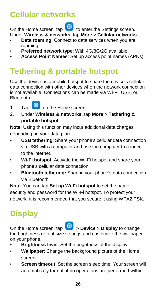### **Cellular networks**

On the Home screen, tap to enter the Settings screen.

- Under **Wireless & networks**, tap **More** > **Cellular networks**. • **Data roaming**: Connect to data services when you are roaming.
- **Preferred network type**: With 4G/3G/2G available.
- **Access Point Names**: Set up access point names (APNs).

### **Tethering & portable hotspot**

Use the device as a mobile hotspot to share the device's cellular data connection with other devices when the network connection is not available. Connections can be made via Wi-Fi, USB, or Bluetooth.

- 1. Tap **O** on the Home screen.
- 2. Under **Wireless & networks**, tap **More** > **Tethering & portable hotspot**.

**Note**: Using this function may incur additional data charges, depending on your data plan.

- **USB tethering**: Share your phone's cellular data connection via USB with a computer and use the computer to connect to the internet.
- **Wi-Fi hotspot**: Activate the Wi-Fi hotspot and share your phone's cellular data connection.
- **Bluetooth tethering:** Sharing your phone's data connection via Bluetooth.

**Note**: You can tap **Set up Wi-Fi hotspot** to set the name, security and password for the Wi-Fi hotspot. To protect your network, it is recommended that you secure it using WPA2 PSK.

### **Display**

On the Home screen, tap > **Device** > **Display** to change the brightness or font size settings and customize the wallpaper on your phone.

- **Brightness level**: Set the brightness of the display.
- **Wallpaper**: Change the background picture of the Home screen.
- **Screen timeout:** Set the screen sleep time. Your screen will automatically turn off if no operations are performed within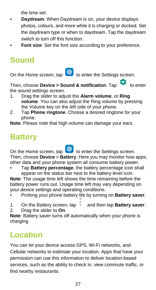the time set.

- **Daydream**: When Daydream is on, your device displays photos, colours, and more while it is charging or docked. Set the daydream type or when to daydream. Tap the daydream switch to turn off this function.
- Font size: Set the font size according to your preference.

### **Sound**

On the Home screen, tap  $\ddot{Q}$  to enter the Settings screen.

Then, choose **Device > Sound & notification**. Tap **the enter** the sound settings screen.

- 1. Drag the slider to adjust the **Alarm volume**, or **Ring volume**. You can also adjust the Ring volume by pressing the Volume key on the left side of your phone.
- 2. Tap **Phone ringtone**. Choose a desired ringtone for your phone.

**Note**: Please note that high volume can damage your ears.

### **Battery**

On the Home screen, tap  $\left| \Omega \right|$  to enter the Settings screen. Then, choose **Device** > **Battery**. Here you may monitor how apps, other data and your phone system all consume battery power.

• Tap **Battery percentage**, the battery percentage icon shall appear on the status bar next to the battery level icon.

**Note**: The usage time left shows the time remaining before the battery power runs out. Usage time left may vary depending on your device settings and operating conditions.

- Prolong your phone battery life by turning on **Battery saver**.
- 1. On the Battery screen, tap and then tap **Battery saver**.
	-
- 2. Drag the slider to **On**.

**Note**: Battery saver turns off automatically when your phone is charging.

### **Location**

You can let your device access GPS, Wi-Fi networks, and Cellular networks to estimate your location. Apps that have your permission can use this information to deliver location-based services, such as the ability to check in, view commute traffic, or find nearby restaurants.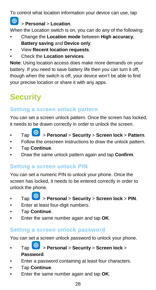To control what location information your device can use, tap

> **Personal** > **Location**.

When the Location switch is on, you can do any of the following:

- Change the **Location mode** between **High accuracy**, **Battery saving** and **Device only**.
- View **Recent location requests**.
- Check the **Location services**.

**Note**: Using location access does make more demands on your battery. If you need to save battery life then you can turn it off, though when the switch is off, your device won't be able to find your precise location or share it with any apps.

## **Security**

#### **Setting a screen unlock pattern**

You can set a screen unlock pattern. Once the screen has locked, it needs to be drawn correctly in order to unlock the screen.

- Tap > **Personal** > **Security** > **Screen lock** > **Pattern**.
- Follow the onscreen instructions to draw the unlock pattern.
- Tap **Continue**.
- Draw the same unlock pattern again and tap **Confirm**.

#### **Setting a screen unlock PIN**

You can set a numeric PIN to unlock your phone. Once the screen has locked, it needs to be entered correctly in order to unlock the phone.

- Tap > **Personal** > **Security** > **Screen lock** > **PIN**.
- Enter at least four-digit numbers.
- Tap **Continue**.
- Enter the same number again and tap **OK**.

#### **Setting a screen unlock password**

You can set a screen unlock password to unlock your phone.

- Tap > **Personal** > **Security** > **Screen lock** > **Password**.
- Enter a password containing at least four characters.
- Tap **Continue**.
- Enter the same number again and tap **OK**.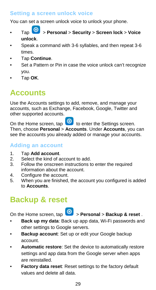#### **Setting a screen unlock voice**

You can set a screen unlock voice to unlock your phone.

- Tap > **Personal** > **Security** > **Screen lock** > **Voice unlock**.
- Speak a command with 3-6 syllables, and then repeat 3-6 times.
- Tap **Continue**.
- Set a Pattern or Pin in case the voice unlock can't recognize you.
- Tap **OK**.

### **Accounts**

Use the Accounts settings to add, remove, and manage your accounts, such as Exchange, Facebook, Google, Twitter and other supported accounts.

On the Home screen, tap  $\ddot{\bullet}$  to enter the Settings screen. Then, choose **Personal** > **Accounts**. Under **Accounts**, you can see the accounts you already added or manage your accounts.

#### **Adding an account**

- 1. Tap **Add account**.
- 2. Select the kind of account to add.<br>3. Follow the onscreen instructions to
- Follow the onscreen instructions to enter the required information about the account.
- 4. Configure the account.<br>5. When you are finished.
- When you are finished, the account you configured is added to **Accounts**.

### **Backup & reset**

- On the Home screen, tap > **Personal** > **Backup & reset** .
- **Back up my data**: Back up app data, Wi-Fi passwords and other settings to Google servers.
- **Backup account**: Set up or edit your Google backup account.
- **Automatic restore**: Set the device to automatically restore settings and app data from the Google server when apps are reinstalled.
- **Factory data reset:** Reset settings to the factory default values and delete all data.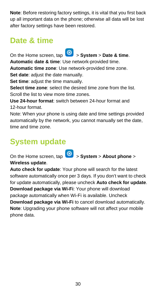**Note**: Before restoring factory settings, it is vital that you first back up all important data on the phone; otherwise all data will be lost after factory settings have been restored.

### **Date & time**

On the Home screen, tap > **System** > **Date & time**.

**Automatic date & time**: Use network-provided time.

**Automatic time zone**: Use network-provided time zone.

**Set date:** adjust the date manually.

**Set time:** adjust the time manually.

**Select time zone**: select the desired time zone from the list. Scroll the list to view more time zones.

**Use 24-hour format**: switch between 24-hour format and 12-hour format.

Note: When your phone is using date and time settings provided automatically by the network, you cannot manually set the date, time and time zone.

### **System update**

On the Home screen, tap > **System** > **About phone** > **Wireless update**.

**Auto check for update**: Your phone will search for the latest software automatically once per 3 days. If you don't want to check for update automatically, please uncheck **Auto check for update**. **Download package via Wi-Fi**: Your phone will download package automatically when Wi-Fi is available. Uncheck **Download package via Wi-Fi** to cancel download automatically. **Note**: Upgrading your phone software will not affect your mobile phone data.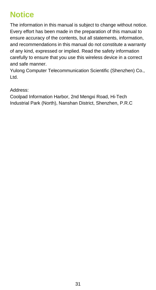### **Notice**

The information in this manual is subject to change without notice. Every effort has been made in the preparation of this manual to ensure accuracy of the contents, but all statements, information, and recommendations in this manual do not constitute a warranty of any kind, expressed or implied. Read the safety information carefully to ensure that you use this wireless device in a correct and safe manner.

Yulong Computer Telecommunication Scientific (Shenzhen) Co., Ltd.

Address:

Coolpad Information Harbor, 2nd Mengxi Road, Hi-Tech Industrial Park (North), Nanshan District, Shenzhen, P.R.C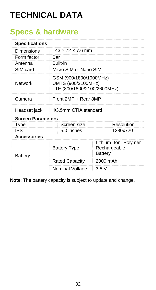## **TECHNICAL DATA**

### **Specs & hardware**

| <b>Specifications</b>    |                                                                             |                                                |  |  |  |  |
|--------------------------|-----------------------------------------------------------------------------|------------------------------------------------|--|--|--|--|
| Dimensions               | $143 \times 72 \times 7.6$ mm                                               |                                                |  |  |  |  |
| Form factor              | Bar                                                                         |                                                |  |  |  |  |
| Antenna                  | Built-in                                                                    |                                                |  |  |  |  |
| SIM card                 |                                                                             | Micro SIM or Nano SIM                          |  |  |  |  |
| Network                  | GSM (900/1800/1900MHz)<br>UMTS (900/2100MHz)<br>LTE (800/1800/2100/2600MHz) |                                                |  |  |  |  |
| Camera                   | Front 2MP + Rear 8MP                                                        |                                                |  |  |  |  |
| Headset jack             | Φ3.5mm CTIA standard                                                        |                                                |  |  |  |  |
| <b>Screen Parameters</b> |                                                                             |                                                |  |  |  |  |
| Type                     | Screen size                                                                 | Resolution                                     |  |  |  |  |
| <b>IPS</b>               | 5.0 inches                                                                  | 1280x720                                       |  |  |  |  |
| <b>Accessories</b>       |                                                                             |                                                |  |  |  |  |
| Battery                  | <b>Battery Type</b>                                                         | Lithium Ion Polymer<br>Rechargeable<br>Battery |  |  |  |  |
|                          | <b>Rated Capacity</b>                                                       | 2000 mAh                                       |  |  |  |  |
|                          | Nominal Voltage                                                             | 3.8V                                           |  |  |  |  |

**Note**: The battery capacity is subject to update and change.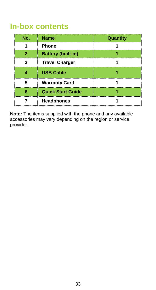### **In-box contents**

| No. | <b>Name</b>               | Quantity |
|-----|---------------------------|----------|
|     | Phone                     |          |
| 2   | <b>Battery (built-in)</b> |          |
| 3   | <b>Travel Charger</b>     |          |
|     | <b>USB Cable</b>          |          |
| 5   | <b>Warranty Card</b>      |          |
| ĥ   | <b>Quick Start Guide</b>  |          |
|     | Headphones                |          |

**Note:** The items supplied with the phone and any available accessories may vary depending on the region or service provider.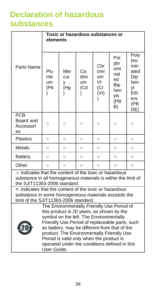### **Declaration of hazardous substances**

|                                                                                                                                                                                                                                                                                                                                                                                                | Toxic or hazardous substances or<br>elements |                               |                        |                                       |                                                                         |                                                                            |  |
|------------------------------------------------------------------------------------------------------------------------------------------------------------------------------------------------------------------------------------------------------------------------------------------------------------------------------------------------------------------------------------------------|----------------------------------------------|-------------------------------|------------------------|---------------------------------------|-------------------------------------------------------------------------|----------------------------------------------------------------------------|--|
| Parts Name                                                                                                                                                                                                                                                                                                                                                                                     | Plu<br>mb<br>um<br>(Pb                       | Mer<br><b>CUL</b><br>٧<br>(Hg | Cа<br>dmi<br>um<br>(Cd | Chr<br>omi<br>um<br>VI<br>(Cr<br>(VI) | Pol<br>ybr<br>omi<br>nat<br>ed<br><b>Bip</b><br>hen<br>yls<br>(PB<br>B) | Poly<br>bro<br>min<br>ated<br>Dip<br>hen<br>vl<br>Eth<br>ers<br>(PB<br>DE) |  |
| PCB<br>Board and<br>Accessori<br>es                                                                                                                                                                                                                                                                                                                                                            | Ō                                            | $\circ$                       | Ō                      | Ō                                     | $\circ$                                                                 | $\circ$                                                                    |  |
| <b>Plastics</b>                                                                                                                                                                                                                                                                                                                                                                                | $\circ$                                      | $\circ$                       | $\circ$                | $\circ$                               | $\circ$                                                                 | $\circ$                                                                    |  |
| Metals                                                                                                                                                                                                                                                                                                                                                                                         | $\circ$                                      | $\circ$                       | $\circ$                | $\circ$                               | $\circ$                                                                 | $\circ$                                                                    |  |
| Battery                                                                                                                                                                                                                                                                                                                                                                                        | $\circ$                                      | $\circ$                       | $\circ$                | $\circ$                               | $\circ$                                                                 | $\circ$                                                                    |  |
| Other                                                                                                                                                                                                                                                                                                                                                                                          | $\circ$                                      | $\circ$                       | $\circ$                | $\circ$<br>$\circ$<br>$\circ$         |                                                                         |                                                                            |  |
| o: indicates that the content of the toxic or hazardous<br>substance in all homogeneous materials is within the limit of<br>the SJ/T11363-2006 standard.                                                                                                                                                                                                                                       |                                              |                               |                        |                                       |                                                                         |                                                                            |  |
| x: indicates that the content of the toxic or hazardous<br>substance in some homogeneous materials exceeds the<br>limit of the SJ/T11363-2006 standard.                                                                                                                                                                                                                                        |                                              |                               |                        |                                       |                                                                         |                                                                            |  |
| The Environmentally Friendly Use Period of<br>this product is 20 years, as shown by the<br>symbol on the left. The Environmentally<br>Friendly Use Period of replaceable parts, such<br>as battery, may be different from that of the<br>product. The Environmentally Friendly Use<br>Period is valid only when the product is<br>operated under the conditions defined in this<br>User Guide. |                                              |                               |                        |                                       |                                                                         |                                                                            |  |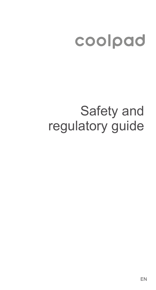# coolpad

# Safety and regulatory guide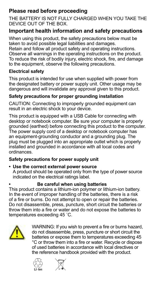#### **Please read before proceeding**

THE BATTERY IS NOT FULLY CHARGED WHEN YOU TAKE THE DEVICE OUT OF THE BOX.

#### **Important health information and safety precautions**

When using this product, the safety precautions below must be taken to avoid possible legal liabilities and damages.

Retain and follow all product safety and operating instructions. Observe all warnings in the operating instructions on the product. To reduce the risk of bodily injury, electric shock, fire, and damage to the equipment, observe the following precautions.

#### **Electrical safety**

This product is intended for use when supplied with power from the designated battery or power supply unit. Other usage may be dangerous and will invalidate any approval given to this product.

#### **Safety precautions for proper grounding installation**

CAUTION: Connecting to improperly grounded equipment can result in an electric shock to your device.

This product is equipped with a USB Cable for connecting with desktop or notebook computer. Be sure your computer is properly grounded (earthed) before connecting this product to the computer. The power supply cord of a desktop or notebook computer has an equipment-grounding conductor and a grounding plug. The plug must be plugged into an appropriate outlet which is properly installed and grounded in accordance with all local codes and ordinances.

#### **Safety precautions for power supply unit**

#### **• Use the correct external power source** A product should be operated only from the type of power source indicated on the electrical ratings label.

#### **• Be careful when using batteries**

This product contains a lithium-ion polymer or lithium-ion battery. In the event of improper handling of the batteries, there is a risk of a fire or burns. Do not attempt to open or repair the batteries. Do not disassemble, press, puncture, short circuit the batteries or throw them into a fire or water and do not expose the batteries to temperatures exceeding 45 ˚C.



WARNING: If you wish to prevent a fire or burns hazard, do not disassemble, press, puncture or short circuit the batteries or expose them to temperatures exceeding 45 °C or throw them into a fire or water. Recycle or dispose of used batteries in accordance with local directives or the reference handbook provided with the product.



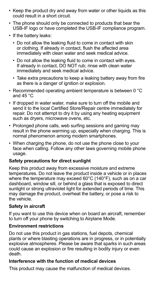- Keep the product dry and away from water or other liquids as this could result in a short circuit.
- The phone should only be connected to products that bear the USB-IF logo or have completed the USB-IF compliance program.
- If the battery leaks:
	- Do not allow the leaking fluid to come in contact with skin or clothing. If already in contact, flush the affected area immediately with clean water and seek medical advice.
	- Do not allow the leaking fluid to come in contact with eyes. If already in contact, DO NOT rub; rinse with clean water immediately and seek medical advice.
	- Take extra precautions to keep a leaking battery away from fire as there is a danger of ignition or explosion.
- Recommended operating ambient temperature is between 0 °C and  $45^{\circ}$ C.
- If dropped in water water, make sure to turn off the mobile and send it to the local Certified Store/Repair centre immediately for repair. Do not attempt to dry it by using any heating equipment such as dryers, microwave ovens, etc.
- Prolonged phone calls, web surfing sessions and gaming may result in the phone warming up, especially when charging. This is normal phenomenon among modern smartphones.
- When charging the phone, do not use the phone close to your face when calling. Follow any other laws governing mobile phone usage.

#### **Safety precautions for direct sunlight**

Keep this product away from excessive moisture and extreme temperatures. Do not leave the product inside a vehicle or in places where the temperature may exceed 60°C (140°F), such as on a car dashboard, window sill, or behind a glass that is exposed to direct sunlight or strong ultraviolet light for extended periods of time. This may damage the product, overheat the battery, or pose a risk to the vehicle.

#### **Safety in aircraft**

If you want to use this device when on board an aircraft, remember to turn off your phone by switching to Airplane Mode.

#### **Environment restrictions**

Do not use this product in gas stations, fuel depots, chemical plants or where blasting operations are in progress, or in potentially explosive atmospheres. Please be aware that sparks in such areas could cause an explosion or fire resulting in bodily injury or even death.

#### **Interference with the function of medical devices**

This product may cause the malfunction of medical devices.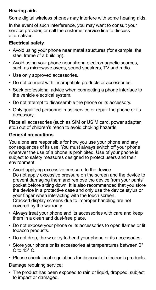#### **Hearing aids**

Some digital wireless phones may interfere with some hearing aids.

In the event of such interference, you may want to consult your service provider, or call the customer service line to discuss alternatives.

#### **Electrical safety**

- Avoid using your phone near metal structures (for example, the steel frame of a building).
- Avoid using your phone near strong electromagnetic sources, such as microwave ovens, sound speakers, TV and radio.
- Use only approved accessories
- Do not connect with incompatible products or accessories.
- Seek professional advice when connecting a phone interface to the vehicle electrical system.
- Do not attempt to disassemble the phone or its accessory.
- Only qualified personnel must service or repair the phone or its accessory.

Place all accessories (such as SIM or USIM card, power adapter, etc.) out of children's reach to avoid choking hazards.

#### **General precautions**

You alone are responsible for how you use your phone and any consequences of its use. You must always switch off your phone wherever the use of a phone is prohibited. Use of your phone is subject to safety measures designed to protect users and their environment.

- Avoid applying excessive pressure to the device Do not apply excessive pressure on the screen and the device to prevent damaging them and remove the device from your pants' pocket before sitting down. It is also recommended that you store the device in a protective case and only use the device stylus or your finger when interacting with the touch screen. Cracked display screens due to improper handling are not covered by the warranty.
- Always treat your phone and its accessories with care and keep them in a clean and dust-free place.
- Do not expose your phone or its accessories to open flames or lit tobacco products.
- Do not drop, throw or try to bend your phone or its accessories.
- Store your phone or its accessories at temperatures between 0° C to  $45^\circ$  C.
- Please check local regulations for disposal of electronic products. Damage requiring service:
- The product has been exposed to rain or liquid, dropped, subject to impact or damaged.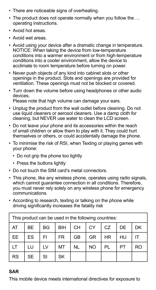- There are noticeable signs of overheating.
- The product does not operate normally when you follow the … operating instructions.
- Avoid hot areas.
- Avoid wet areas.
- Avoid using your device after a dramatic change in temperature. NOTICE: When taking the device from low-temperature conditions into a warmer environment or from high-temperature conditions into a cooler environment, allow the device to acclimate to room temperature before turning on power.
- Never push objects of any kind into cabinet slots or other openings in the product. Slots and openings are provided for ventilation. These openings must not be blocked or covered.
- Turn down the volume before using headphones or other audio devices. Please note that high volume can damage your ears.
- Unplug the product from the wall outlet before cleaning. Do not use liquid cleaners or aerosol cleaners. Use a damp cloth for cleaning, but NEVER use water to clean the LCD screen.
- Do not leave your phone and its accessories within the reach of small children or allow them to play with it. They could hurt themselves or others, or could accidentally damage the phone.
- To minimise the risk of RSI, when Texting or playing games with your phone:
	- Do not grip the phone too tightly
	- Press the buttons lightly
- Do not touch the SIM card's metal connectors.
- This phone, like any wireless phone, operates using radio signals, which cannot guarantee connection in all conditions. Therefore, you must never rely solely on any wireless phone for emergency communications.
- According to research, texting or talking on the phone while driving significantly increases the fatality risk

| This product can be used in the following countries: |           |           |           |           |    |     |    |     |
|------------------------------------------------------|-----------|-----------|-----------|-----------|----|-----|----|-----|
| AT                                                   | <b>BE</b> | <b>BG</b> | BIH       | <b>CH</b> | CY | CZ. | DE | DK  |
| EE.                                                  | ES.       | FI        | <b>FR</b> | GB        | GR | HR  | HU |     |
| LТ                                                   | LU        | LV        | MT        | <b>NL</b> | NO | PL  | PT | RO. |
| <b>RS</b>                                            | <b>SE</b> | SI        | SK        |           |    |     |    |     |

#### **SAR**

This mobile device meets international directives for exposure to